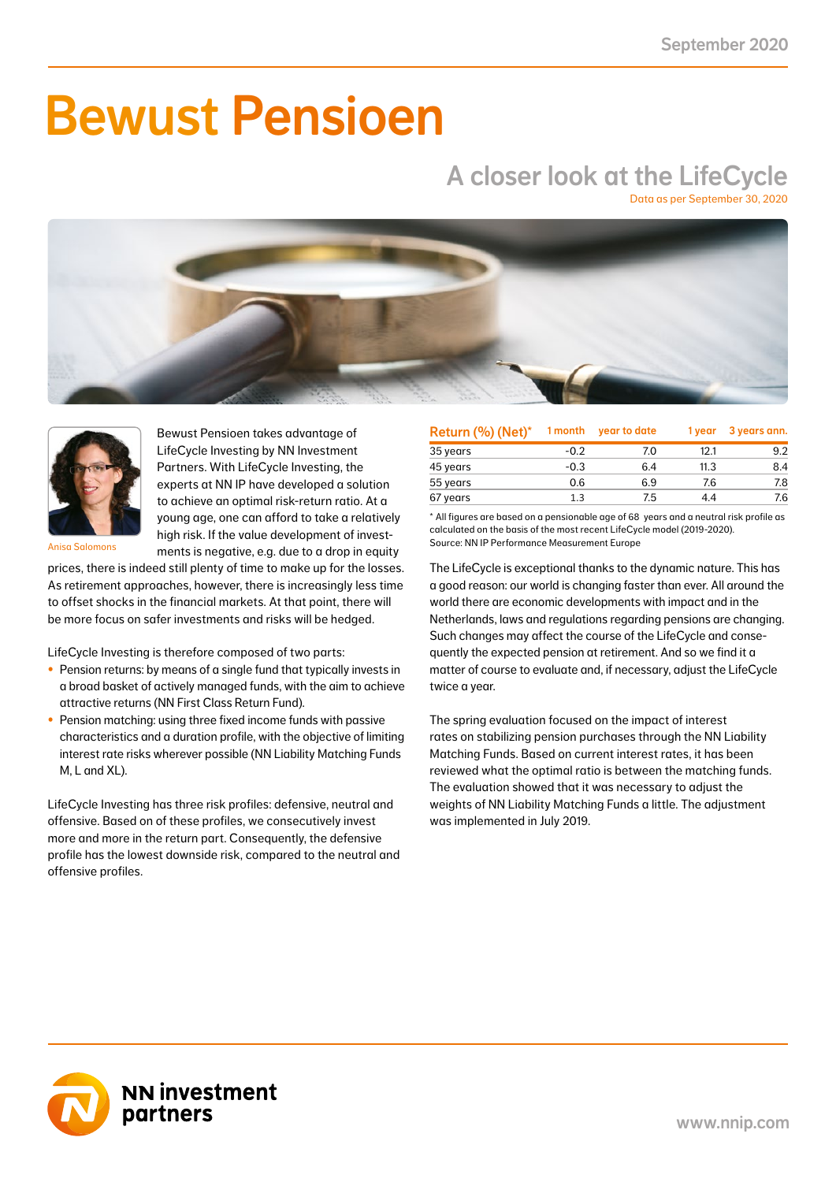# Bewust Pensioen

## A closer look at the LifeCycle

Data as per September 30, 2020





Bewust Pensioen takes advantage of LifeCycle Investing by NN Investment Partners. With LifeCycle Investing, the experts at NN IP have developed a solution to achieve an optimal risk-return ratio. At a young age, one can afford to take a relatively high risk. If the value development of investments is negative, e.g. due to a drop in equity

Anisa Salomons

prices, there is indeed still plenty of time to make up for the losses. As retirement approaches, however, there is increasingly less time to offset shocks in the financial markets. At that point, there will be more focus on safer investments and risks will be hedged.

LifeCycle Investing is therefore composed of two parts:

- Pension returns: by means of a single fund that typically invests in a broad basket of actively managed funds, with the aim to achieve attractive returns (NN First Class Return Fund).
- Pension matching: using three fixed income funds with passive characteristics and a duration profile, with the objective of limiting interest rate risks wherever possible (NN Liability Matching Funds M, L and XL).

LifeCycle Investing has three risk profiles: defensive, neutral and offensive. Based on of these profiles, we consecutively invest more and more in the return part. Consequently, the defensive profile has the lowest downside risk, compared to the neutral and offensive profiles.

| Return (%) (Net)* | 1 month | year to date | 1 year | 3 years ann. |
|-------------------|---------|--------------|--------|--------------|
| 35 years          | $-0.2$  | 7.0          | 12.1   | 9.2          |
| 45 years          | $-0.3$  | 6.4          | 11.3   | 8.4          |
| 55 years          | 0.6     | 6.9          | 7.6    | 7.8          |
| 67 years          | 1.3     | 7.5          | 4.4    | 7.6          |

\* All figures are based on a pensionable age of 68 years and a neutral risk profile as calculated on the basis of the most recent LifeCycle model (2019-2020). Source: NN IP Performance Measurement Europe

The LifeCycle is exceptional thanks to the dynamic nature. This has a good reason: our world is changing faster than ever. All around the world there are economic developments with impact and in the Netherlands, laws and regulations regarding pensions are changing. Such changes may affect the course of the LifeCycle and consequently the expected pension at retirement. And so we find it a matter of course to evaluate and, if necessary, adjust the LifeCycle twice a year.

The spring evaluation focused on the impact of interest rates on stabilizing pension purchases through the NN Liability Matching Funds. Based on current interest rates, it has been reviewed what the optimal ratio is between the matching funds. The evaluation showed that it was necessary to adjust the weights of NN Liability Matching Funds a little. The adjustment was implemented in July 2019.

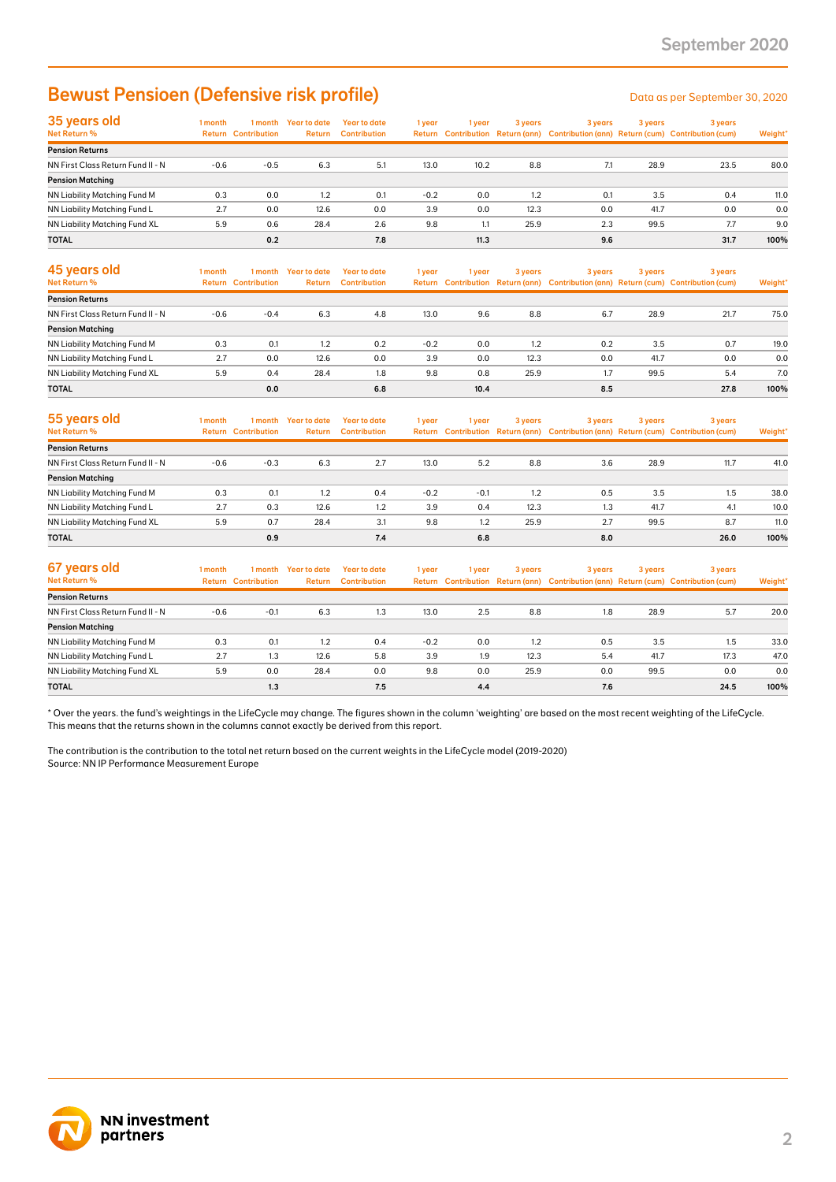### Bewust Pensioen (Defensive risk profile) Data as per September 30, 2020

| 35 years old                        | 1 month |                            | I month Year to date | Year to date        | 1 year | l year | 3 years | 3 years | 3 years | 3 years                                                                             |         |
|-------------------------------------|---------|----------------------------|----------------------|---------------------|--------|--------|---------|---------|---------|-------------------------------------------------------------------------------------|---------|
| Net Return %                        |         | <b>Return Contribution</b> | <b>Return</b>        | <b>Contribution</b> |        |        |         |         |         | Return Contribution Return (ann) Contribution (ann) Return (cum) Contribution (cum) | Weight* |
| <b>Pension Returns</b>              |         |                            |                      |                     |        |        |         |         |         |                                                                                     |         |
| NN First Class Return Fund II - N   | $-0.6$  | $-0.5$                     | 6.3                  | 5.1                 | 13.0   | 10.2   | 8.8     | 7.1     | 28.9    | 23.5                                                                                | 80.0    |
| <b>Pension Matching</b>             |         |                            |                      |                     |        |        |         |         |         |                                                                                     |         |
| <b>NN Liability Matching Fund M</b> | 0.3     | 0.0                        | 1.2                  | 0.1                 | $-0.2$ | 0.0    | 1.2     | 0.1     | 3.5     | 0.4                                                                                 | 11.0    |
| NN Liability Matching Fund L        | 2.7     | 0.0                        | 12.6                 | 0.0                 | 3.9    | 0.0    | 12.3    | 0.0     | 41.7    | 0.0                                                                                 | 0.0     |
| NN Liability Matching Fund XL       | 5.9     | 0.6                        | 28.4                 | 2.6                 | 9.8    | 1.1    | 25.9    | 2.3     | 99.5    | 7.7                                                                                 | 9.0     |
| <b>TOTAL</b>                        |         | 0.2                        |                      | 7.8                 |        | 11.3   |         | 9.6     |         | 31.7                                                                                | 100%    |

| 45 years old<br>Net Return %      | l month | 1 month<br><b>Return Contribution</b> | Year to date<br>Return | Year to date<br><b>Contribution</b> | 1 year | 1 year | 3 years | 3 years | 3 years | 3 years<br>Return Contribution Return (ann) Contribution (ann) Return (cum) Contribution (cum) | Weight* |
|-----------------------------------|---------|---------------------------------------|------------------------|-------------------------------------|--------|--------|---------|---------|---------|------------------------------------------------------------------------------------------------|---------|
| <b>Pension Returns</b>            |         |                                       |                        |                                     |        |        |         |         |         |                                                                                                |         |
| NN First Class Return Fund II - N | $-0.6$  | $-0.4$                                | 6.3                    | 4.8                                 | 13.0   | 9.6    | 8.8     | 6.7     | 28.9    | 21.7                                                                                           | 75.0    |
| <b>Pension Matching</b>           |         |                                       |                        |                                     |        |        |         |         |         |                                                                                                |         |
| NN Liability Matching Fund M      | 0.3     | 0.1                                   | 1.2                    | 0.2                                 | $-0.2$ | 0.0    | 1.2     | 0.2     | 3.5     | 0.7                                                                                            | 19.0    |
| NN Liability Matching Fund L      | 2.7     | 0.0                                   | 12.6                   | 0.0                                 | 3.9    | 0.0    | 12.3    | 0.0     | 41.7    | 0.0                                                                                            | 0.0     |
| NN Liability Matching Fund XL     | 5.9     | 0.4                                   | 28.4                   | 1.8                                 | 9.8    | 0.8    | 25.9    | 1.7     | 99.5    | 5.4                                                                                            | 7.0     |
| <b>TOTAL</b>                      |         | 0.0                                   |                        | 6.8                                 |        | 10.4   |         | 8.5     |         | 27.8                                                                                           | 100%    |

| 55 years old<br>Net Return %      | l month | 1 month<br><b>Return Contribution</b> | Year to date<br><b>Return</b> | Year to date<br><b>Contribution</b> | 1 year | 1 vear | 3 years | 3 years | 3 years | 3 years<br>Return Contribution Return (ann) Contribution (ann) Return (cum) Contribution (cum) | Weight* |
|-----------------------------------|---------|---------------------------------------|-------------------------------|-------------------------------------|--------|--------|---------|---------|---------|------------------------------------------------------------------------------------------------|---------|
| <b>Pension Returns</b>            |         |                                       |                               |                                     |        |        |         |         |         |                                                                                                |         |
| NN First Class Return Fund II - N | $-0.6$  | $-0.3$                                | 6.3                           | 2.7                                 | 13.0   | 5.2    | 8.8     | 3.6     | 28.9    | 11.7                                                                                           | 41.0    |
| <b>Pension Matching</b>           |         |                                       |                               |                                     |        |        |         |         |         |                                                                                                |         |
| NN Liability Matching Fund M      | 0.3     | 0.1                                   | 1.2                           | 0.4                                 | $-0.2$ | $-0.1$ | 1.2     | 0.5     | 3.5     | 1.5                                                                                            | 38.0    |
| NN Liability Matching Fund L      | 2.7     | 0.3                                   | 12.6                          | 1.2                                 | 3.9    | 0.4    | 12.3    | 1.3     | 41.7    | 4.1                                                                                            | 10.0    |
| NN Liability Matching Fund XL     | 5.9     | 0.7                                   | 28.4                          | 3.1                                 | 9.8    | 1.2    | 25.9    | 2.7     | 99.5    | 8.7                                                                                            | 11.0    |
| <b>TOTAL</b>                      |         | 0.9                                   |                               | 7.4                                 |        | 6.8    |         | 8.0     |         | 26.0                                                                                           | 100%    |

| 67 years old<br>Net Return %      | I month<br>Return | 1 month<br><b>Contribution</b> | Year to date<br><b>Return</b> | Year to date<br><b>Contribution</b> | 1 year | 1 year | 3 years | 3 years | 3 years | 3 years<br>Return Contribution Return (ann) Contribution (ann) Return (cum) Contribution (cum) | Weight* |
|-----------------------------------|-------------------|--------------------------------|-------------------------------|-------------------------------------|--------|--------|---------|---------|---------|------------------------------------------------------------------------------------------------|---------|
| <b>Pension Returns</b>            |                   |                                |                               |                                     |        |        |         |         |         |                                                                                                |         |
| NN First Class Return Fund II - N | $-0.6$            | $-0.1$                         | 6.3                           | 1.3                                 | 13.0   | 2.5    | 8.8     | 1.8     | 28.9    | 5.7                                                                                            | 20.0    |
| <b>Pension Matching</b>           |                   |                                |                               |                                     |        |        |         |         |         |                                                                                                |         |
| NN Liability Matching Fund M      | 0.3               | 0.1                            | 1.2                           | 0.4                                 | $-0.2$ | 0.0    | 1.2     | 0.5     | 3.5     | 1.5                                                                                            | 33.0    |
| NN Liability Matching Fund L      | 2.7               | 1.3                            | 12.6                          | 5.8                                 | 3.9    | 1.9    | 12.3    | 5.4     | 41.7    | 17.3                                                                                           | 47.0    |
| NN Liability Matching Fund XL     | 5.9               | 0.0                            | 28.4                          | 0.0                                 | 9.8    | 0.0    | 25.9    | 0.0     | 99.5    | 0.0                                                                                            | 0.0     |
| <b>TOTAL</b>                      |                   | 1.3                            |                               | 7.5                                 |        | 4.4    |         | 7.6     |         | 24.5                                                                                           | 100%    |

\* Over the years. the fund's weightings in the LifeCycle may change. The figures shown in the column 'weighting' are based on the most recent weighting of the LifeCycle. This means that the returns shown in the columns cannot exactly be derived from this report.

The contribution is the contribution to the total net return based on the current weights in the LifeCycle model (2019-2020) Source: NN IP Performance Measurement Europe

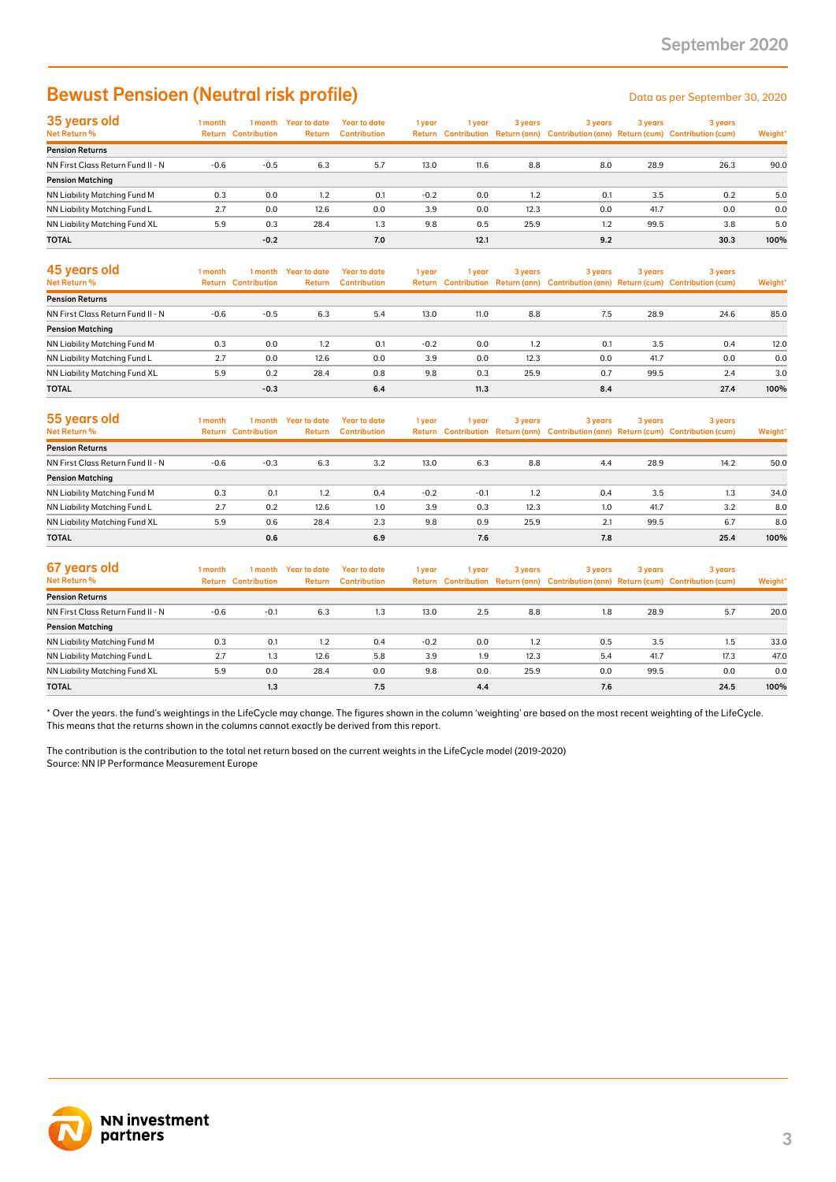### Bewust Pensioen (Neutral risk profile) Data as per September 30, 2020

| 35 years old                      | 1 month | 1 month                    | Year to date  | <b>Year to date</b> | 1 year | l vear | 3 years | 3 years | 3 years | 3 years                                                                             |         |
|-----------------------------------|---------|----------------------------|---------------|---------------------|--------|--------|---------|---------|---------|-------------------------------------------------------------------------------------|---------|
| Net Return %                      |         | <b>Return Contribution</b> | <b>Return</b> | <b>Contribution</b> |        |        |         |         |         | Return Contribution Return (ann) Contribution (ann) Return (cum) Contribution (cum) | Weight* |
| <b>Pension Returns</b>            |         |                            |               |                     |        |        |         |         |         |                                                                                     |         |
| NN First Class Return Fund II - N | $-0.6$  | $-0.5$                     | 6.3           | 5.7                 | 13.0   | 11.6   | 8.8     | 8.0     | 28.9    | 26.3                                                                                | 90.0    |
| <b>Pension Matching</b>           |         |                            |               |                     |        |        |         |         |         |                                                                                     |         |
| NN Liability Matching Fund M      | 0.3     | 0.0                        | 1.2           | 0.1                 | $-0.2$ | 0.0    | 1.2     | 0.1     | 3.5     | 0.2                                                                                 | 5.0     |
| NN Liability Matching Fund L      | 2.7     | 0.0                        | 12.6          | 0.0                 | 3.9    | 0.0    | 12.3    | 0.0     | 41.7    | 0.0                                                                                 | 0.0     |
| NN Liability Matching Fund XL     | 5.9     | 0.3                        | 28.4          | 1.3                 | 9.8    | 0.5    | 25.9    | 1.2     | 99.5    | 3.8                                                                                 | 5.0     |
| <b>TOTAL</b>                      |         | $-0.2$                     |               | 7.0                 |        | 12.1   |         | 9.2     |         | 30.3                                                                                | 100%    |

| 45 years old<br>Net Return %      | l month | 1 month<br><b>Return Contribution</b> | Year to date<br><b>Return</b> | Year to date<br><b>Contribution</b> | 1 year | 1 vear | 3 years | 3 years | 3 years | 3 years<br>Return Contribution Return (ann) Contribution (ann) Return (cum) Contribution (cum) | Weight* |
|-----------------------------------|---------|---------------------------------------|-------------------------------|-------------------------------------|--------|--------|---------|---------|---------|------------------------------------------------------------------------------------------------|---------|
| <b>Pension Returns</b>            |         |                                       |                               |                                     |        |        |         |         |         |                                                                                                |         |
| NN First Class Return Fund II - N | $-0.6$  | $-0.5$                                | 6.3                           | 5.4                                 | 13.0   | 11.0   | 8.8     | 7.5     | 28.9    | 24.6                                                                                           | 85.0    |
| <b>Pension Matching</b>           |         |                                       |                               |                                     |        |        |         |         |         |                                                                                                |         |
| NN Liability Matching Fund M      | 0.3     | 0.0                                   | 1.2                           | 0.1                                 | $-0.2$ | 0.0    | 1.2     | 0.1     | 3.5     | 0.4                                                                                            | 12.0    |
| NN Liability Matching Fund L      | 2.7     | 0.0                                   | 12.6                          | 0.0                                 | 3.9    | 0.0    | 12.3    | 0.0     | 41.7    | 0.0                                                                                            | 0.0     |
| NN Liability Matching Fund XL     | 5.9     | 0.2                                   | 28.4                          | 0.8                                 | 9.8    | 0.3    | 25.9    | 0.7     | 99.5    | 2.4                                                                                            | 3.0     |
| <b>TOTAL</b>                      |         | $-0.3$                                |                               | 6.4                                 |        | 11.3   |         | 8.4     |         | 27.4                                                                                           | 100%    |

| 55 years old<br><b>Net Return %</b> | l month | 1 month<br><b>Return Contribution</b> | <b>Year to date</b><br>Return | <b>Year to date</b><br><b>Contribution</b> | 1 year | 1 year | 3 years | 3 years | 3 years | 3 years<br>Return Contribution Return (ann) Contribution (ann) Return (cum) Contribution (cum) | Weight* |
|-------------------------------------|---------|---------------------------------------|-------------------------------|--------------------------------------------|--------|--------|---------|---------|---------|------------------------------------------------------------------------------------------------|---------|
| <b>Pension Returns</b>              |         |                                       |                               |                                            |        |        |         |         |         |                                                                                                |         |
| NN First Class Return Fund II - N   | $-0.6$  | $-0.3$                                | 6.3                           | 3.2                                        | 13.0   | 6.3    | 8.8     | 4.4     | 28.9    | 14.2                                                                                           | 50.0    |
| <b>Pension Matching</b>             |         |                                       |                               |                                            |        |        |         |         |         |                                                                                                |         |
| NN Liability Matching Fund M        | 0.3     | 0.1                                   | 1.2                           | 0.4                                        | $-0.2$ | $-0.1$ | 1.2     | 0.4     | 3.5     | 1.3                                                                                            | 34.0    |
| NN Liability Matching Fund L        | 2.7     | 0.2                                   | 12.6                          | 1.0                                        | 3.9    | 0.3    | 12.3    | 1.0     | 41.7    | 3.2                                                                                            | 8.0     |
| NN Liability Matching Fund XL       | 5.9     | 0.6                                   | 28.4                          | 2.3                                        | 9.8    | 0.9    | 25.9    | 2.1     | 99.5    | 6.7                                                                                            | 8.0     |
| <b>TOTAL</b>                        |         | 0.6                                   |                               | 6.9                                        |        | 7.6    |         | 7.8     |         | 25.4                                                                                           | 100%    |

| 67 years old<br>Net Return %      | 1 month | 1 month<br><b>Return Contribution</b> | Year to date<br>Return | Year to date<br><b>Contribution</b> | 1 year | 1 year | 3 years | 3 years | 3 years | 3 years<br>Return Contribution Return (ann) Contribution (ann) Return (cum) Contribution (cum) | Weight* |
|-----------------------------------|---------|---------------------------------------|------------------------|-------------------------------------|--------|--------|---------|---------|---------|------------------------------------------------------------------------------------------------|---------|
|                                   |         |                                       |                        |                                     |        |        |         |         |         |                                                                                                |         |
| <b>Pension Returns</b>            |         |                                       |                        |                                     |        |        |         |         |         |                                                                                                |         |
| NN First Class Return Fund II - N | $-0.6$  | $-0.1$                                | 6.3                    | 1.3                                 | 13.0   | 2.5    | 8.8     | 1.8     | 28.9    | 5.7                                                                                            | 20.0    |
| <b>Pension Matching</b>           |         |                                       |                        |                                     |        |        |         |         |         |                                                                                                |         |
| NN Liability Matching Fund M      | 0.3     | 0.1                                   | 1.2                    | 0.4                                 | $-0.2$ | 0.0    | 1.2     | 0.5     | 3.5     | 1.5                                                                                            | 33.0    |
| NN Liability Matching Fund L      | 2.7     | 1.3                                   | 12.6                   | 5.8                                 | 3.9    | 1.9    | 12.3    | 5.4     | 41.7    | 17.3                                                                                           | 47.0    |
| NN Liability Matching Fund XL     | 5.9     | 0.0                                   | 28.4                   | 0.0                                 | 9.8    | 0.0    | 25.9    | 0.0     | 99.5    | 0.0                                                                                            | 0.0     |
| <b>TOTAL</b>                      |         | 1.3                                   |                        | 7.5                                 |        | 4.4    |         | 7.6     |         | 24.5                                                                                           | 100%    |

\* Over the years. the fund's weightings in the LifeCycle may change. The figures shown in the column 'weighting' are based on the most recent weighting of the LifeCycle. This means that the returns shown in the columns cannot exactly be derived from this report.

The contribution is the contribution to the total net return based on the current weights in the LifeCycle model (2019-2020) Source: NN IP Performance Measurement Europe